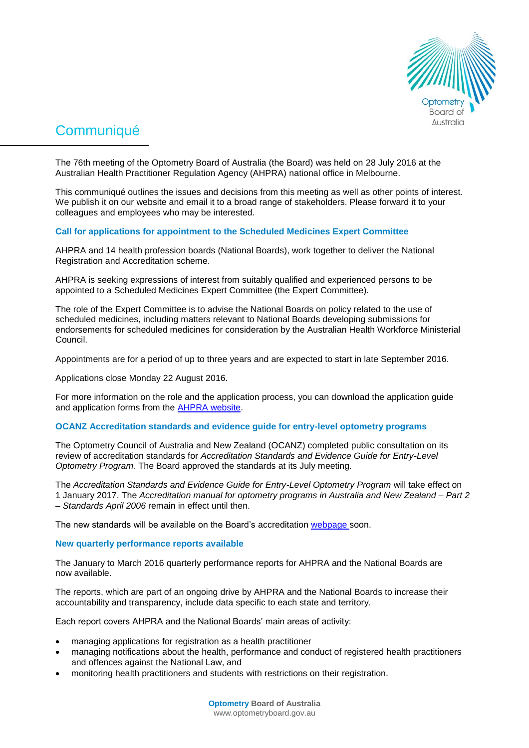

# **Communiqué**

The 76th meeting of the Optometry Board of Australia (the Board) was held on 28 July 2016 at the Australian Health Practitioner Regulation Agency (AHPRA) national office in Melbourne.

This communiqué outlines the issues and decisions from this meeting as well as other points of interest. We publish it on our website and email it to a broad range of stakeholders. Please forward it to your colleagues and employees who may be interested.

## **Call for applications for appointment to the Scheduled Medicines Expert Committee**

AHPRA and 14 health profession boards (National Boards), work together to deliver the National Registration and Accreditation scheme.

AHPRA is seeking expressions of interest from suitably qualified and experienced persons to be appointed to a Scheduled Medicines Expert Committee (the Expert Committee).

The role of the Expert Committee is to advise the National Boards on policy related to the use of scheduled medicines, including matters relevant to National Boards developing submissions for endorsements for scheduled medicines for consideration by the Australian Health Workforce Ministerial Council.

Appointments are for a period of up to three years and are expected to start in late September 2016.

Applications close Monday 22 August 2016.

For more information on the role and the application process, you can download the application guide and application forms from the [AHPRA website.](http://www.ahpra.gov.au/News/2016-07-22-call-for-applications.aspx)

## **OCANZ Accreditation standards and evidence guide for entry-level optometry programs**

The Optometry Council of Australia and New Zealand (OCANZ) completed public consultation on its review of accreditation standards for *Accreditation Standards and Evidence Guide for Entry-Level Optometry Program.* The Board approved the standards at its July meeting.

The *Accreditation Standards and Evidence Guide for Entry-Level Optometry Program* will take effect on 1 January 2017. The *Accreditation manual for optometry programs in Australia and New Zealand – Part 2 – Standards April 2006* remain in effect until then.

The new standards will be available on the Board's accreditation [webpage s](http://www.optometryboard.gov.au/Accreditation.aspx)oon.

## **New quarterly performance reports available**

The January to March 2016 quarterly performance reports for AHPRA and the National Boards are now available.

The reports, which are part of an ongoing drive by AHPRA and the National Boards to increase their accountability and transparency, include data specific to each state and territory.

Each report covers AHPRA and the National Boards' main areas of activity:

- managing applications for registration as a health practitioner
- managing notifications about the health, performance and conduct of registered health practitioners and offences against the National Law, and
- monitoring health practitioners and students with restrictions on their registration.